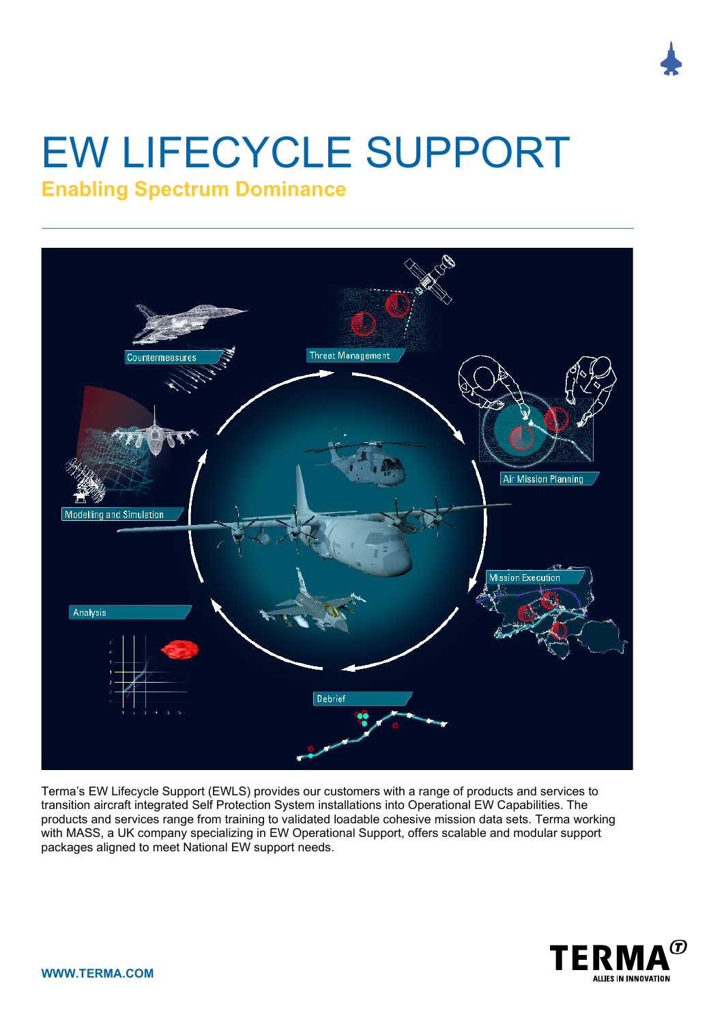# EW LIFECYCLE SUPPORT **Enabling Spectrum Dominance**



Terma's EW Lifecycle Support (EWLS) provides our customers with a range of products and services to transition aircraft integrated Self Protection System installations into Operational EW Capabilities. The products and services range from training to validated loadable cohesive mission data sets. Terma working with MASS, a UK company specializing in EW Operational Support, offers scalable and modular support packages aligned to meet National EW support needs.